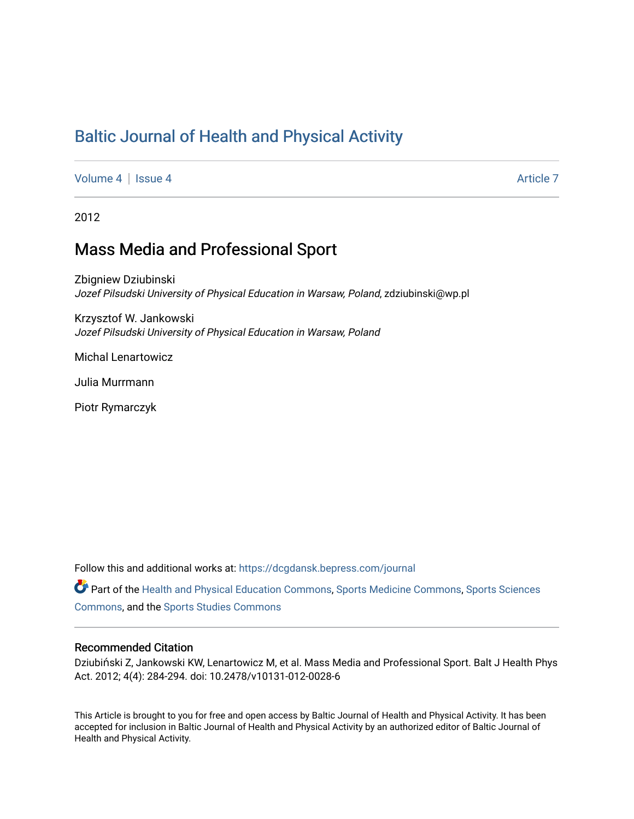# [Baltic Journal of Health and Physical Activity](https://dcgdansk.bepress.com/journal)

[Volume 4](https://dcgdansk.bepress.com/journal/vol4) | [Issue 4](https://dcgdansk.bepress.com/journal/vol4/iss4) Article 7

2012

## Mass Media and Professional Sport

Zbigniew Dziubinski Jozef Pilsudski University of Physical Education in Warsaw, Poland, zdziubinski@wp.pl

Krzysztof W. Jankowski Jozef Pilsudski University of Physical Education in Warsaw, Poland

Michal Lenartowicz

Julia Murrmann

Piotr Rymarczyk

Follow this and additional works at: [https://dcgdansk.bepress.com/journal](https://dcgdansk.bepress.com/journal?utm_source=dcgdansk.bepress.com%2Fjournal%2Fvol4%2Fiss4%2F7&utm_medium=PDF&utm_campaign=PDFCoverPages)

Part of the [Health and Physical Education Commons](http://network.bepress.com/hgg/discipline/1327?utm_source=dcgdansk.bepress.com%2Fjournal%2Fvol4%2Fiss4%2F7&utm_medium=PDF&utm_campaign=PDFCoverPages), [Sports Medicine Commons,](http://network.bepress.com/hgg/discipline/1331?utm_source=dcgdansk.bepress.com%2Fjournal%2Fvol4%2Fiss4%2F7&utm_medium=PDF&utm_campaign=PDFCoverPages) [Sports Sciences](http://network.bepress.com/hgg/discipline/759?utm_source=dcgdansk.bepress.com%2Fjournal%2Fvol4%2Fiss4%2F7&utm_medium=PDF&utm_campaign=PDFCoverPages) [Commons](http://network.bepress.com/hgg/discipline/759?utm_source=dcgdansk.bepress.com%2Fjournal%2Fvol4%2Fiss4%2F7&utm_medium=PDF&utm_campaign=PDFCoverPages), and the [Sports Studies Commons](http://network.bepress.com/hgg/discipline/1198?utm_source=dcgdansk.bepress.com%2Fjournal%2Fvol4%2Fiss4%2F7&utm_medium=PDF&utm_campaign=PDFCoverPages) 

#### Recommended Citation

Dziubiński Z, Jankowski KW, Lenartowicz M, et al. Mass Media and Professional Sport. Balt J Health Phys Act. 2012; 4(4): 284-294. doi: 10.2478/v10131-012-0028-6

This Article is brought to you for free and open access by Baltic Journal of Health and Physical Activity. It has been accepted for inclusion in Baltic Journal of Health and Physical Activity by an authorized editor of Baltic Journal of Health and Physical Activity.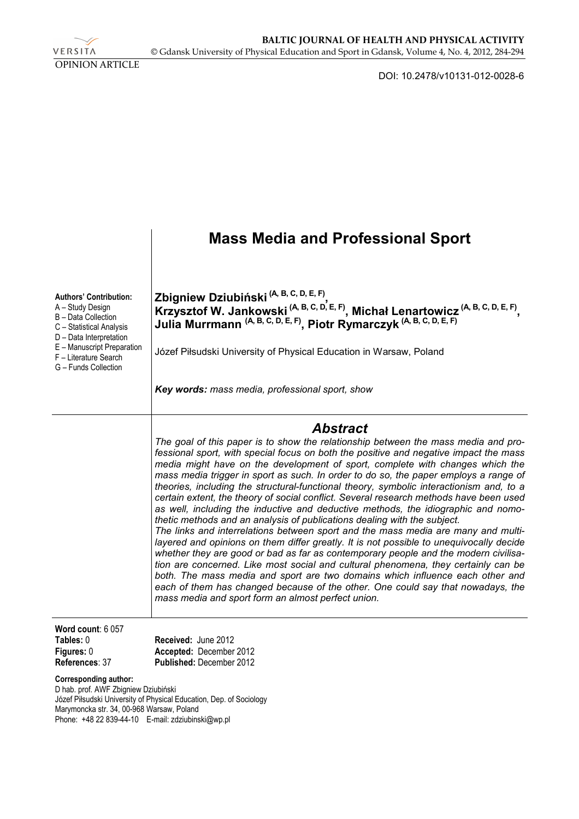

DOI: 10.2478/v10131-012-0028-6

## **Mass Media and Professional Sport Authors' Contribution:**  A – Study Design B – Data Collection C – Statistical Analysis D – Data Interpretation E – Manuscript Preparation F – Literature Search G – Funds Collection **Zbigniew Dziubiński (A, B, C, D, E, F) , Krzysztof W. Jankowski (A, B, C, D, E, F), Michał Lenartowicz (A, B, C, D, E, F) , Julia Murrmann (A, B, C, D, E, F), Piotr Rymarczyk (A, B, C, D, E, F)** Józef Piłsudski University of Physical Education in Warsaw, Poland *Key words: mass media, professional sport, show Abstract The goal of this paper is to show the relationship between the mass media and professional sport, with special focus on both the positive and negative impact the mass media might have on the development of sport, complete with changes which the mass media trigger in sport as such. In order to do so, the paper employs a range of theories, including the structural-functional theory, symbolic interactionism and, to a certain extent, the theory of social conflict. Several research methods have been used as well, including the inductive and deductive methods, the idiographic and nomothetic methods and an analysis of publications dealing with the subject. The links and interrelations between sport and the mass media are many and multi*layered and opinions on them differ greatly. It is not possible to unequivocally decide *whether they are good or bad as far as contemporary people and the modern civilisation are concerned. Like most social and cultural phenomena, they certainly can be*  both. The mass media and sport are two domains which influence each other and *each of them has changed because of the other. One could say that nowadays, the mass media and sport form an almost perfect union.*  **Word count**: 6 057 **Tables:** 0 **Figures:** 0 **References**: 37 **Received:** June 2012 **Accepted:** December 2012 **Published:** December 2012 **Corresponding author:**  D hab. prof. AWF Zbigniew Dziubiński

Józef Piłsudski University of Physical Education, Dep. of Sociology Marymoncka str. 34, 00-968 Warsaw, Poland Phone: +48 22 839-44-10 E-mail: zdziubinski@wp.pl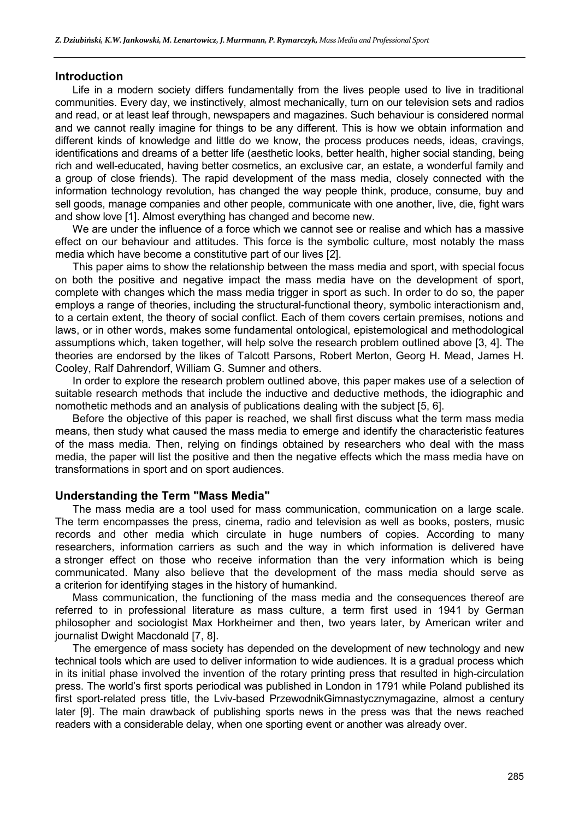#### **Introduction**

Life in a modern society differs fundamentally from the lives people used to live in traditional communities. Every day, we instinctively, almost mechanically, turn on our television sets and radios and read, or at least leaf through, newspapers and magazines. Such behaviour is considered normal and we cannot really imagine for things to be any different. This is how we obtain information and different kinds of knowledge and little do we know, the process produces needs, ideas, cravings, identifications and dreams of a better life (aesthetic looks, better health, higher social standing, being rich and well-educated, having better cosmetics, an exclusive car, an estate, a wonderful family and a group of close friends). The rapid development of the mass media, closely connected with the information technology revolution, has changed the way people think, produce, consume, buy and sell goods, manage companies and other people, communicate with one another, live, die, fight wars and show love [1]. Almost everything has changed and become new.

We are under the influence of a force which we cannot see or realise and which has a massive effect on our behaviour and attitudes. This force is the symbolic culture, most notably the mass media which have become a constitutive part of our lives [2].

This paper aims to show the relationship between the mass media and sport, with special focus on both the positive and negative impact the mass media have on the development of sport, complete with changes which the mass media trigger in sport as such. In order to do so, the paper employs a range of theories, including the structural-functional theory, symbolic interactionism and, to a certain extent, the theory of social conflict. Each of them covers certain premises, notions and laws, or in other words, makes some fundamental ontological, epistemological and methodological assumptions which, taken together, will help solve the research problem outlined above [3, 4]. The theories are endorsed by the likes of Talcott Parsons, Robert Merton, Georg H. Mead, James H. Cooley, Ralf Dahrendorf, William G. Sumner and others.

In order to explore the research problem outlined above, this paper makes use of a selection of suitable research methods that include the inductive and deductive methods, the idiographic and nomothetic methods and an analysis of publications dealing with the subject [5, 6].

Before the objective of this paper is reached, we shall first discuss what the term mass media means, then study what caused the mass media to emerge and identify the characteristic features of the mass media. Then, relying on findings obtained by researchers who deal with the mass media, the paper will list the positive and then the negative effects which the mass media have on transformations in sport and on sport audiences.

## **Understanding the Term "Mass Media"**

The mass media are a tool used for mass communication, communication on a large scale. The term encompasses the press, cinema, radio and television as well as books, posters, music records and other media which circulate in huge numbers of copies. According to many researchers, information carriers as such and the way in which information is delivered have a stronger effect on those who receive information than the very information which is being communicated. Many also believe that the development of the mass media should serve as a criterion for identifying stages in the history of humankind.

Mass communication, the functioning of the mass media and the consequences thereof are referred to in professional literature as mass culture, a term first used in 1941 by German philosopher and sociologist Max Horkheimer and then, two years later, by American writer and journalist Dwight Macdonald [7, 8].

The emergence of mass society has depended on the development of new technology and new technical tools which are used to deliver information to wide audiences. It is a gradual process which in its initial phase involved the invention of the rotary printing press that resulted in high-circulation press. The world's first sports periodical was published in London in 1791 while Poland published its first sport-related press title, the Lviv-based PrzewodnikGimnastycznymagazine, almost a century later [9]. The main drawback of publishing sports news in the press was that the news reached readers with a considerable delay, when one sporting event or another was already over.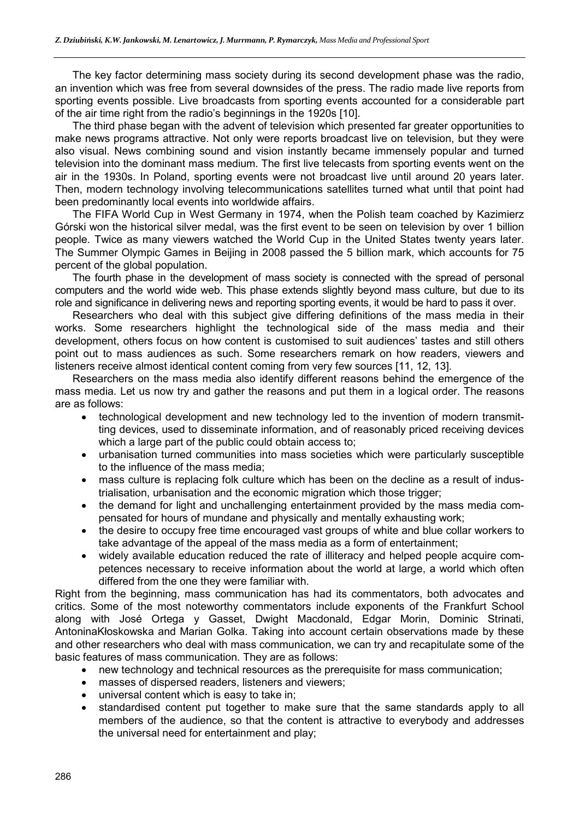The key factor determining mass society during its second development phase was the radio, an invention which was free from several downsides of the press. The radio made live reports from sporting events possible. Live broadcasts from sporting events accounted for a considerable part of the air time right from the radio's beginnings in the 1920s [10].

The third phase began with the advent of television which presented far greater opportunities to make news programs attractive. Not only were reports broadcast live on television, but they were also visual. News combining sound and vision instantly became immensely popular and turned television into the dominant mass medium. The first live telecasts from sporting events went on the air in the 1930s. In Poland, sporting events were not broadcast live until around 20 years later. Then, modern technology involving telecommunications satellites turned what until that point had been predominantly local events into worldwide affairs.

The FIFA World Cup in West Germany in 1974, when the Polish team coached by Kazimierz Górski won the historical silver medal, was the first event to be seen on television by over 1 billion people. Twice as many viewers watched the World Cup in the United States twenty years later. The Summer Olympic Games in Beijing in 2008 passed the 5 billion mark, which accounts for 75 percent of the global population.

The fourth phase in the development of mass society is connected with the spread of personal computers and the world wide web. This phase extends slightly beyond mass culture, but due to its role and significance in delivering news and reporting sporting events, it would be hard to pass it over.

Researchers who deal with this subject give differing definitions of the mass media in their works. Some researchers highlight the technological side of the mass media and their development, others focus on how content is customised to suit audiences' tastes and still others point out to mass audiences as such. Some researchers remark on how readers, viewers and listeners receive almost identical content coming from very few sources [11, 12, 13].

Researchers on the mass media also identify different reasons behind the emergence of the mass media. Let us now try and gather the reasons and put them in a logical order. The reasons are as follows:

- technological development and new technology led to the invention of modern transmitting devices, used to disseminate information, and of reasonably priced receiving devices which a large part of the public could obtain access to;
- urbanisation turned communities into mass societies which were particularly susceptible to the influence of the mass media;
- mass culture is replacing folk culture which has been on the decline as a result of industrialisation, urbanisation and the economic migration which those trigger;
- the demand for light and unchallenging entertainment provided by the mass media compensated for hours of mundane and physically and mentally exhausting work;
- the desire to occupy free time encouraged vast groups of white and blue collar workers to take advantage of the appeal of the mass media as a form of entertainment;
- widely available education reduced the rate of illiteracy and helped people acquire competences necessary to receive information about the world at large, a world which often differed from the one they were familiar with.

Right from the beginning, mass communication has had its commentators, both advocates and critics. Some of the most noteworthy commentators include exponents of the Frankfurt School along with José Ortega y Gasset, Dwight Macdonald, Edgar Morin, Dominic Strinati, AntoninaKłoskowska and Marian Golka. Taking into account certain observations made by these and other researchers who deal with mass communication, we can try and recapitulate some of the basic features of mass communication. They are as follows:

- new technology and technical resources as the prerequisite for mass communication;
- masses of dispersed readers, listeners and viewers;
- universal content which is easy to take in;
- standardised content put together to make sure that the same standards apply to all members of the audience, so that the content is attractive to everybody and addresses the universal need for entertainment and play;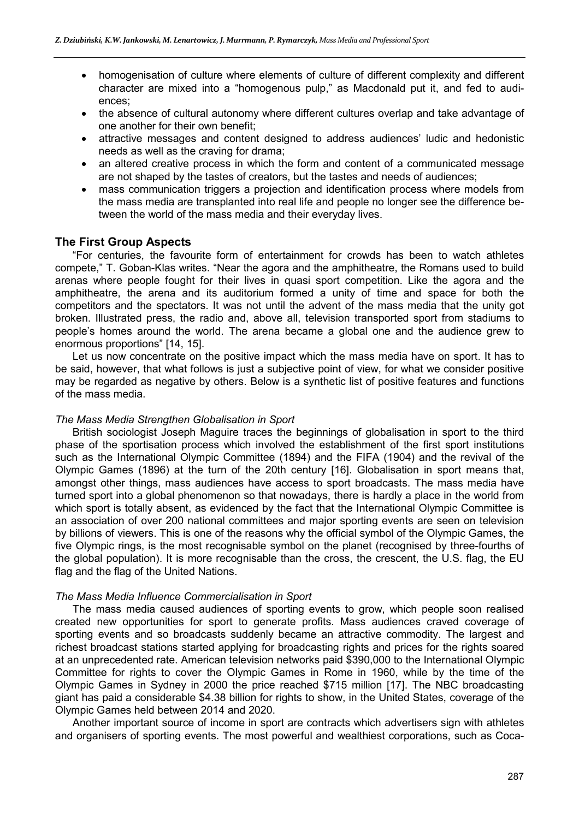- homogenisation of culture where elements of culture of different complexity and different character are mixed into a "homogenous pulp," as Macdonald put it, and fed to audiences;
- the absence of cultural autonomy where different cultures overlap and take advantage of one another for their own benefit;
- attractive messages and content designed to address audiences' ludic and hedonistic needs as well as the craving for drama;
- an altered creative process in which the form and content of a communicated message are not shaped by the tastes of creators, but the tastes and needs of audiences;
- mass communication triggers a projection and identification process where models from the mass media are transplanted into real life and people no longer see the difference between the world of the mass media and their everyday lives.

## **The First Group Aspects**

"For centuries, the favourite form of entertainment for crowds has been to watch athletes compete," T. Goban-Klas writes. "Near the agora and the amphitheatre, the Romans used to build arenas where people fought for their lives in quasi sport competition. Like the agora and the amphitheatre, the arena and its auditorium formed a unity of time and space for both the competitors and the spectators. It was not until the advent of the mass media that the unity got broken. Illustrated press, the radio and, above all, television transported sport from stadiums to people's homes around the world. The arena became a global one and the audience grew to enormous proportions" [14, 15].

Let us now concentrate on the positive impact which the mass media have on sport. It has to be said, however, that what follows is just a subjective point of view, for what we consider positive may be regarded as negative by others. Below is a synthetic list of positive features and functions of the mass media.

#### *The Mass Media Strengthen Globalisation in Sport*

British sociologist Joseph Maguire traces the beginnings of globalisation in sport to the third phase of the sportisation process which involved the establishment of the first sport institutions such as the International Olympic Committee (1894) and the FIFA (1904) and the revival of the Olympic Games (1896) at the turn of the 20th century [16]. Globalisation in sport means that, amongst other things, mass audiences have access to sport broadcasts. The mass media have turned sport into a global phenomenon so that nowadays, there is hardly a place in the world from which sport is totally absent, as evidenced by the fact that the International Olympic Committee is an association of over 200 national committees and major sporting events are seen on television by billions of viewers. This is one of the reasons why the official symbol of the Olympic Games, the five Olympic rings, is the most recognisable symbol on the planet (recognised by three-fourths of the global population). It is more recognisable than the cross, the crescent, the U.S. flag, the EU flag and the flag of the United Nations.

#### *The Mass Media Influence Commercialisation in Sport*

The mass media caused audiences of sporting events to grow, which people soon realised created new opportunities for sport to generate profits. Mass audiences craved coverage of sporting events and so broadcasts suddenly became an attractive commodity. The largest and richest broadcast stations started applying for broadcasting rights and prices for the rights soared at an unprecedented rate. American television networks paid \$390,000 to the International Olympic Committee for rights to cover the Olympic Games in Rome in 1960, while by the time of the Olympic Games in Sydney in 2000 the price reached \$715 million [17]. The NBC broadcasting giant has paid a considerable \$4.38 billion for rights to show, in the United States, coverage of the Olympic Games held between 2014 and 2020.

Another important source of income in sport are contracts which advertisers sign with athletes and organisers of sporting events. The most powerful and wealthiest corporations, such as Coca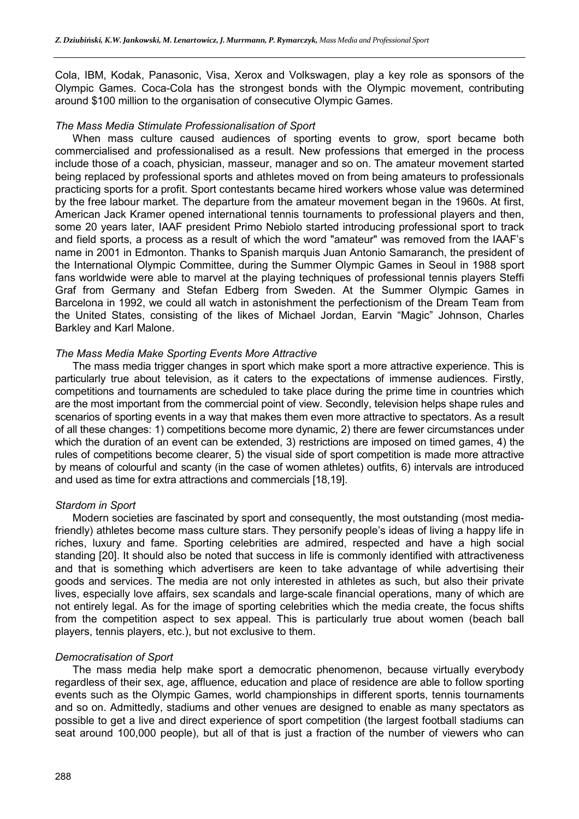Cola, IBM, Kodak, Panasonic, Visa, Xerox and Volkswagen, play a key role as sponsors of the Olympic Games. Coca-Cola has the strongest bonds with the Olympic movement, contributing around \$100 million to the organisation of consecutive Olympic Games.

#### *The Mass Media Stimulate Professionalisation of Sport*

When mass culture caused audiences of sporting events to grow, sport became both commercialised and professionalised as a result. New professions that emerged in the process include those of a coach, physician, masseur, manager and so on. The amateur movement started being replaced by professional sports and athletes moved on from being amateurs to professionals practicing sports for a profit. Sport contestants became hired workers whose value was determined by the free labour market. The departure from the amateur movement began in the 1960s. At first, American Jack Kramer opened international tennis tournaments to professional players and then, some 20 years later, IAAF president Primo Nebiolo started introducing professional sport to track and field sports, a process as a result of which the word "amateur" was removed from the IAAF's name in 2001 in Edmonton. Thanks to Spanish marquis Juan Antonio Samaranch, the president of the International Olympic Committee, during the Summer Olympic Games in Seoul in 1988 sport fans worldwide were able to marvel at the playing techniques of professional tennis players Steffi Graf from Germany and Stefan Edberg from Sweden. At the Summer Olympic Games in Barcelona in 1992, we could all watch in astonishment the perfectionism of the Dream Team from the United States, consisting of the likes of Michael Jordan, Earvin "Magic" Johnson, Charles Barkley and Karl Malone.

#### *The Mass Media Make Sporting Events More Attractive*

The mass media trigger changes in sport which make sport a more attractive experience. This is particularly true about television, as it caters to the expectations of immense audiences. Firstly, competitions and tournaments are scheduled to take place during the prime time in countries which are the most important from the commercial point of view. Secondly, television helps shape rules and scenarios of sporting events in a way that makes them even more attractive to spectators. As a result of all these changes: 1) competitions become more dynamic, 2) there are fewer circumstances under which the duration of an event can be extended, 3) restrictions are imposed on timed games, 4) the rules of competitions become clearer, 5) the visual side of sport competition is made more attractive by means of colourful and scanty (in the case of women athletes) outfits, 6) intervals are introduced and used as time for extra attractions and commercials [18,19].

#### *Stardom in Sport*

Modern societies are fascinated by sport and consequently, the most outstanding (most mediafriendly) athletes become mass culture stars. They personify people's ideas of living a happy life in riches, luxury and fame. Sporting celebrities are admired, respected and have a high social standing [20]. It should also be noted that success in life is commonly identified with attractiveness and that is something which advertisers are keen to take advantage of while advertising their goods and services. The media are not only interested in athletes as such, but also their private lives, especially love affairs, sex scandals and large-scale financial operations, many of which are not entirely legal. As for the image of sporting celebrities which the media create, the focus shifts from the competition aspect to sex appeal. This is particularly true about women (beach ball players, tennis players, etc.), but not exclusive to them.

#### *Democratisation of Sport*

The mass media help make sport a democratic phenomenon, because virtually everybody regardless of their sex, age, affluence, education and place of residence are able to follow sporting events such as the Olympic Games, world championships in different sports, tennis tournaments and so on. Admittedly, stadiums and other venues are designed to enable as many spectators as possible to get a live and direct experience of sport competition (the largest football stadiums can seat around 100,000 people), but all of that is just a fraction of the number of viewers who can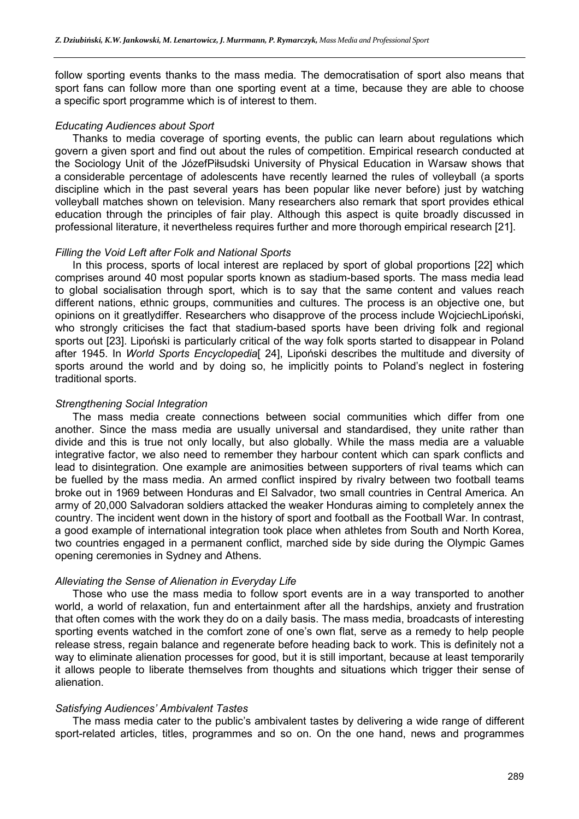follow sporting events thanks to the mass media. The democratisation of sport also means that sport fans can follow more than one sporting event at a time, because they are able to choose a specific sport programme which is of interest to them.

#### *Educating Audiences about Sport*

Thanks to media coverage of sporting events, the public can learn about regulations which govern a given sport and find out about the rules of competition. Empirical research conducted at the Sociology Unit of the JózefPiłsudski University of Physical Education in Warsaw shows that a considerable percentage of adolescents have recently learned the rules of volleyball (a sports discipline which in the past several years has been popular like never before) just by watching volleyball matches shown on television. Many researchers also remark that sport provides ethical education through the principles of fair play. Although this aspect is quite broadly discussed in professional literature, it nevertheless requires further and more thorough empirical research [21].

#### *Filling the Void Left after Folk and National Sports*

In this process, sports of local interest are replaced by sport of global proportions [22] which comprises around 40 most popular sports known as stadium-based sports. The mass media lead to global socialisation through sport, which is to say that the same content and values reach different nations, ethnic groups, communities and cultures. The process is an objective one, but opinions on it greatlydiffer. Researchers who disapprove of the process include WojciechLipoński, who strongly criticises the fact that stadium-based sports have been driving folk and regional sports out [23]. Lipoński is particularly critical of the way folk sports started to disappear in Poland after 1945. In *World Sports Encyclopedia*[ 24], Lipoński describes the multitude and diversity of sports around the world and by doing so, he implicitly points to Poland's neglect in fostering traditional sports.

#### *Strengthening Social Integration*

The mass media create connections between social communities which differ from one another. Since the mass media are usually universal and standardised, they unite rather than divide and this is true not only locally, but also globally. While the mass media are a valuable integrative factor, we also need to remember they harbour content which can spark conflicts and lead to disintegration. One example are animosities between supporters of rival teams which can be fuelled by the mass media. An armed conflict inspired by rivalry between two football teams broke out in 1969 between Honduras and El Salvador, two small countries in Central America. An army of 20,000 Salvadoran soldiers attacked the weaker Honduras aiming to completely annex the country. The incident went down in the history of sport and football as the Football War. In contrast, a good example of international integration took place when athletes from South and North Korea, two countries engaged in a permanent conflict, marched side by side during the Olympic Games opening ceremonies in Sydney and Athens.

#### *Alleviating the Sense of Alienation in Everyday Life*

Those who use the mass media to follow sport events are in a way transported to another world, a world of relaxation, fun and entertainment after all the hardships, anxiety and frustration that often comes with the work they do on a daily basis. The mass media, broadcasts of interesting sporting events watched in the comfort zone of one's own flat, serve as a remedy to help people release stress, regain balance and regenerate before heading back to work. This is definitely not a way to eliminate alienation processes for good, but it is still important, because at least temporarily it allows people to liberate themselves from thoughts and situations which trigger their sense of alienation.

#### *Satisfying Audiences' Ambivalent Tastes*

The mass media cater to the public's ambivalent tastes by delivering a wide range of different sport-related articles, titles, programmes and so on. On the one hand, news and programmes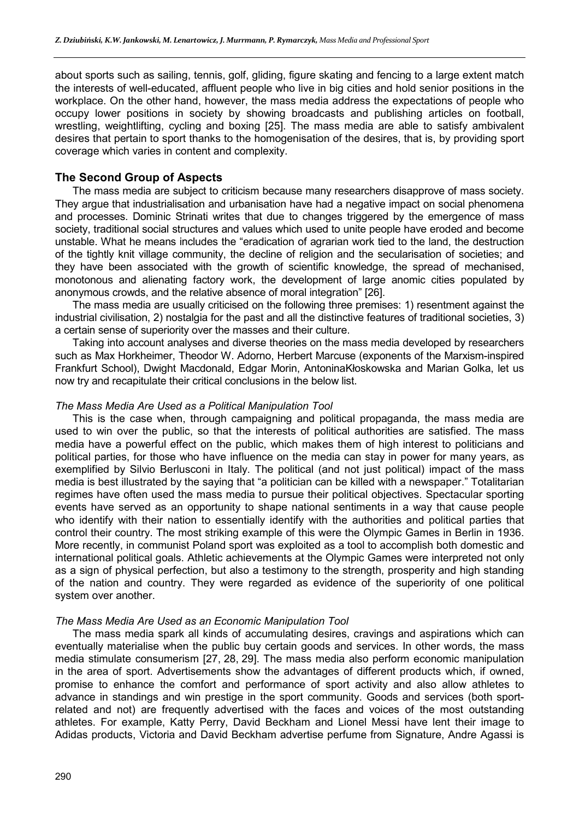about sports such as sailing, tennis, golf, gliding, figure skating and fencing to a large extent match the interests of well-educated, affluent people who live in big cities and hold senior positions in the workplace. On the other hand, however, the mass media address the expectations of people who occupy lower positions in society by showing broadcasts and publishing articles on football, wrestling, weightlifting, cycling and boxing [25]. The mass media are able to satisfy ambivalent desires that pertain to sport thanks to the homogenisation of the desires, that is, by providing sport coverage which varies in content and complexity.

## **The Second Group of Aspects**

The mass media are subject to criticism because many researchers disapprove of mass society. They argue that industrialisation and urbanisation have had a negative impact on social phenomena and processes. Dominic Strinati writes that due to changes triggered by the emergence of mass society, traditional social structures and values which used to unite people have eroded and become unstable. What he means includes the "eradication of agrarian work tied to the land, the destruction of the tightly knit village community, the decline of religion and the secularisation of societies; and they have been associated with the growth of scientific knowledge, the spread of mechanised, monotonous and alienating factory work, the development of large anomic cities populated by anonymous crowds, and the relative absence of moral integration" [26].

The mass media are usually criticised on the following three premises: 1) resentment against the industrial civilisation, 2) nostalgia for the past and all the distinctive features of traditional societies, 3) a certain sense of superiority over the masses and their culture.

Taking into account analyses and diverse theories on the mass media developed by researchers such as Max Horkheimer, Theodor W. Adorno, Herbert Marcuse (exponents of the Marxism-inspired Frankfurt School), Dwight Macdonald, Edgar Morin, AntoninaKłoskowska and Marian Golka, let us now try and recapitulate their critical conclusions in the below list.

#### *The Mass Media Are Used as a Political Manipulation Tool*

This is the case when, through campaigning and political propaganda, the mass media are used to win over the public, so that the interests of political authorities are satisfied. The mass media have a powerful effect on the public, which makes them of high interest to politicians and political parties, for those who have influence on the media can stay in power for many years, as exemplified by Silvio Berlusconi in Italy. The political (and not just political) impact of the mass media is best illustrated by the saying that "a politician can be killed with a newspaper." Totalitarian regimes have often used the mass media to pursue their political objectives. Spectacular sporting events have served as an opportunity to shape national sentiments in a way that cause people who identify with their nation to essentially identify with the authorities and political parties that control their country. The most striking example of this were the Olympic Games in Berlin in 1936. More recently, in communist Poland sport was exploited as a tool to accomplish both domestic and international political goals. Athletic achievements at the Olympic Games were interpreted not only as a sign of physical perfection, but also a testimony to the strength, prosperity and high standing of the nation and country. They were regarded as evidence of the superiority of one political system over another.

#### *The Mass Media Are Used as an Economic Manipulation Tool*

The mass media spark all kinds of accumulating desires, cravings and aspirations which can eventually materialise when the public buy certain goods and services. In other words, the mass media stimulate consumerism [27, 28, 29]. The mass media also perform economic manipulation in the area of sport. Advertisements show the advantages of different products which, if owned, promise to enhance the comfort and performance of sport activity and also allow athletes to advance in standings and win prestige in the sport community. Goods and services (both sportrelated and not) are frequently advertised with the faces and voices of the most outstanding athletes. For example, Katty Perry, David Beckham and Lionel Messi have lent their image to Adidas products, Victoria and David Beckham advertise perfume from Signature, Andre Agassi is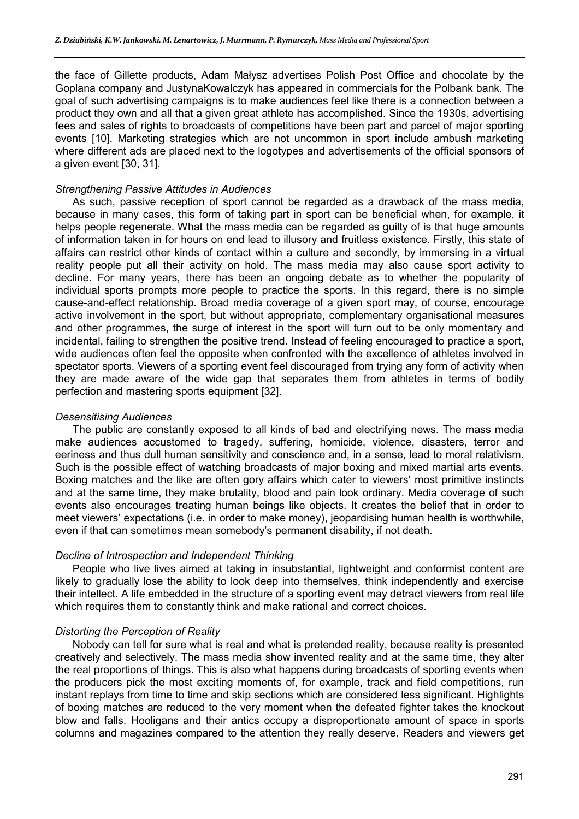the face of Gillette products, Adam Małysz advertises Polish Post Office and chocolate by the Goplana company and JustynaKowalczyk has appeared in commercials for the Polbank bank. The goal of such advertising campaigns is to make audiences feel like there is a connection between a product they own and all that a given great athlete has accomplished. Since the 1930s, advertising fees and sales of rights to broadcasts of competitions have been part and parcel of major sporting events [10]. Marketing strategies which are not uncommon in sport include ambush marketing where different ads are placed next to the logotypes and advertisements of the official sponsors of a given event [30, 31].

### *Strengthening Passive Attitudes in Audiences*

As such, passive reception of sport cannot be regarded as a drawback of the mass media, because in many cases, this form of taking part in sport can be beneficial when, for example, it helps people regenerate. What the mass media can be regarded as guilty of is that huge amounts of information taken in for hours on end lead to illusory and fruitless existence. Firstly, this state of affairs can restrict other kinds of contact within a culture and secondly, by immersing in a virtual reality people put all their activity on hold. The mass media may also cause sport activity to decline. For many years, there has been an ongoing debate as to whether the popularity of individual sports prompts more people to practice the sports. In this regard, there is no simple cause-and-effect relationship. Broad media coverage of a given sport may, of course, encourage active involvement in the sport, but without appropriate, complementary organisational measures and other programmes, the surge of interest in the sport will turn out to be only momentary and incidental, failing to strengthen the positive trend. Instead of feeling encouraged to practice a sport, wide audiences often feel the opposite when confronted with the excellence of athletes involved in spectator sports. Viewers of a sporting event feel discouraged from trying any form of activity when they are made aware of the wide gap that separates them from athletes in terms of bodily perfection and mastering sports equipment [32].

#### *Desensitising Audiences*

The public are constantly exposed to all kinds of bad and electrifying news. The mass media make audiences accustomed to tragedy, suffering, homicide, violence, disasters, terror and eeriness and thus dull human sensitivity and conscience and, in a sense, lead to moral relativism. Such is the possible effect of watching broadcasts of major boxing and mixed martial arts events. Boxing matches and the like are often gory affairs which cater to viewers' most primitive instincts and at the same time, they make brutality, blood and pain look ordinary. Media coverage of such events also encourages treating human beings like objects. It creates the belief that in order to meet viewers' expectations (i.e. in order to make money), jeopardising human health is worthwhile, even if that can sometimes mean somebody's permanent disability, if not death.

#### *Decline of Introspection and Independent Thinking*

People who live lives aimed at taking in insubstantial, lightweight and conformist content are likely to gradually lose the ability to look deep into themselves, think independently and exercise their intellect. A life embedded in the structure of a sporting event may detract viewers from real life which requires them to constantly think and make rational and correct choices.

#### *Distorting the Perception of Reality*

Nobody can tell for sure what is real and what is pretended reality, because reality is presented creatively and selectively. The mass media show invented reality and at the same time, they alter the real proportions of things. This is also what happens during broadcasts of sporting events when the producers pick the most exciting moments of, for example, track and field competitions, run instant replays from time to time and skip sections which are considered less significant. Highlights of boxing matches are reduced to the very moment when the defeated fighter takes the knockout blow and falls. Hooligans and their antics occupy a disproportionate amount of space in sports columns and magazines compared to the attention they really deserve. Readers and viewers get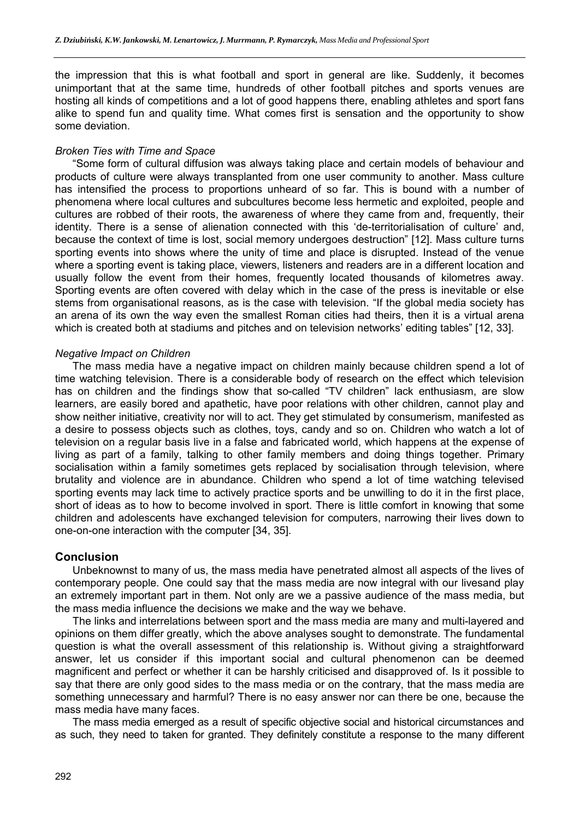the impression that this is what football and sport in general are like. Suddenly, it becomes unimportant that at the same time, hundreds of other football pitches and sports venues are hosting all kinds of competitions and a lot of good happens there, enabling athletes and sport fans alike to spend fun and quality time. What comes first is sensation and the opportunity to show some deviation.

### *Broken Ties with Time and Space*

"Some form of cultural diffusion was always taking place and certain models of behaviour and products of culture were always transplanted from one user community to another. Mass culture has intensified the process to proportions unheard of so far. This is bound with a number of phenomena where local cultures and subcultures become less hermetic and exploited, people and cultures are robbed of their roots, the awareness of where they came from and, frequently, their identity. There is a sense of alienation connected with this 'de-territorialisation of culture' and, because the context of time is lost, social memory undergoes destruction" [12]. Mass culture turns sporting events into shows where the unity of time and place is disrupted. Instead of the venue where a sporting event is taking place, viewers, listeners and readers are in a different location and usually follow the event from their homes, frequently located thousands of kilometres away. Sporting events are often covered with delay which in the case of the press is inevitable or else stems from organisational reasons, as is the case with television. "If the global media society has an arena of its own the way even the smallest Roman cities had theirs, then it is a virtual arena which is created both at stadiums and pitches and on television networks' editing tables" [12, 33].

#### *Negative Impact on Children*

The mass media have a negative impact on children mainly because children spend a lot of time watching television. There is a considerable body of research on the effect which television has on children and the findings show that so-called "TV children" lack enthusiasm, are slow learners, are easily bored and apathetic, have poor relations with other children, cannot play and show neither initiative, creativity nor will to act. They get stimulated by consumerism, manifested as a desire to possess objects such as clothes, toys, candy and so on. Children who watch a lot of television on a regular basis live in a false and fabricated world, which happens at the expense of living as part of a family, talking to other family members and doing things together. Primary socialisation within a family sometimes gets replaced by socialisation through television, where brutality and violence are in abundance. Children who spend a lot of time watching televised sporting events may lack time to actively practice sports and be unwilling to do it in the first place, short of ideas as to how to become involved in sport. There is little comfort in knowing that some children and adolescents have exchanged television for computers, narrowing their lives down to one-on-one interaction with the computer [34, 35].

#### **Conclusion**

Unbeknownst to many of us, the mass media have penetrated almost all aspects of the lives of contemporary people. One could say that the mass media are now integral with our livesand play an extremely important part in them. Not only are we a passive audience of the mass media, but the mass media influence the decisions we make and the way we behave.

The links and interrelations between sport and the mass media are many and multi-layered and opinions on them differ greatly, which the above analyses sought to demonstrate. The fundamental question is what the overall assessment of this relationship is. Without giving a straightforward answer, let us consider if this important social and cultural phenomenon can be deemed magnificent and perfect or whether it can be harshly criticised and disapproved of. Is it possible to say that there are only good sides to the mass media or on the contrary, that the mass media are something unnecessary and harmful? There is no easy answer nor can there be one, because the mass media have many faces.

The mass media emerged as a result of specific objective social and historical circumstances and as such, they need to taken for granted. They definitely constitute a response to the many different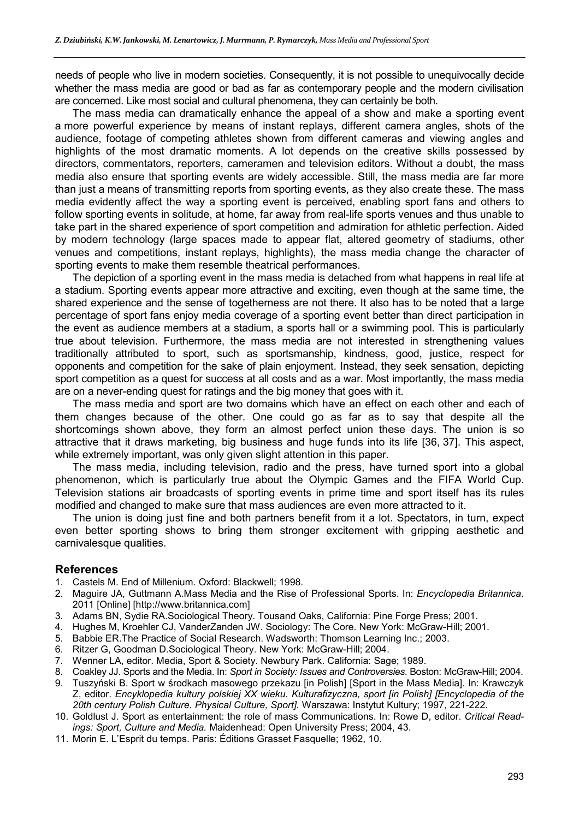needs of people who live in modern societies. Consequently, it is not possible to unequivocally decide whether the mass media are good or bad as far as contemporary people and the modern civilisation are concerned. Like most social and cultural phenomena, they can certainly be both.

The mass media can dramatically enhance the appeal of a show and make a sporting event a more powerful experience by means of instant replays, different camera angles, shots of the audience, footage of competing athletes shown from different cameras and viewing angles and highlights of the most dramatic moments. A lot depends on the creative skills possessed by directors, commentators, reporters, cameramen and television editors. Without a doubt, the mass media also ensure that sporting events are widely accessible. Still, the mass media are far more than just a means of transmitting reports from sporting events, as they also create these. The mass media evidently affect the way a sporting event is perceived, enabling sport fans and others to follow sporting events in solitude, at home, far away from real-life sports venues and thus unable to take part in the shared experience of sport competition and admiration for athletic perfection. Aided by modern technology (large spaces made to appear flat, altered geometry of stadiums, other venues and competitions, instant replays, highlights), the mass media change the character of sporting events to make them resemble theatrical performances.

The depiction of a sporting event in the mass media is detached from what happens in real life at a stadium. Sporting events appear more attractive and exciting, even though at the same time, the shared experience and the sense of togetherness are not there. It also has to be noted that a large percentage of sport fans enjoy media coverage of a sporting event better than direct participation in the event as audience members at a stadium, a sports hall or a swimming pool. This is particularly true about television. Furthermore, the mass media are not interested in strengthening values traditionally attributed to sport, such as sportsmanship, kindness, good, justice, respect for opponents and competition for the sake of plain enjoyment. Instead, they seek sensation, depicting sport competition as a quest for success at all costs and as a war. Most importantly, the mass media are on a never-ending quest for ratings and the big money that goes with it.

The mass media and sport are two domains which have an effect on each other and each of them changes because of the other. One could go as far as to say that despite all the shortcomings shown above, they form an almost perfect union these days. The union is so attractive that it draws marketing, big business and huge funds into its life [36, 37]. This aspect, while extremely important, was only given slight attention in this paper.

The mass media, including television, radio and the press, have turned sport into a global phenomenon, which is particularly true about the Olympic Games and the FIFA World Cup. Television stations air broadcasts of sporting events in prime time and sport itself has its rules modified and changed to make sure that mass audiences are even more attracted to it.

The union is doing just fine and both partners benefit from it a lot. Spectators, in turn, expect even better sporting shows to bring them stronger excitement with gripping aesthetic and carnivalesque qualities.

#### **References**

- 1. Castels M. End of Millenium. Oxford: Blackwell; 1998.
- 2. Maguire JA, Guttmann A.Mass Media and the Rise of Professional Sports. In: *Encyclopedia Britannica*. 2011 [Online] [http://www.britannica.com]
- 3. Adams BN, Sydie RA.Sociological Theory. Tousand Oaks, California: Pine Forge Press; 2001.
- 4. Hughes M, Kroehler CJ, VanderZanden JW. Sociology: The Core. New York: McGraw-Hill; 2001.
- 5. Babbie ER.The Practice of Social Research. Wadsworth: Thomson Learning Inc.; 2003.
- 6. Ritzer G, Goodman D.Sociological Theory. New York: McGraw-Hill; 2004.
- 7. Wenner LA, editor. Media, Sport & Society. Newbury Park. California: Sage; 1989.
- 8. Coakley JJ. Sports and the Media. In: *Sport in Society: Issues and Controversies*. Boston: McGraw-Hill; 2004.
- 9. Tuszyński B. Sport w środkach masowego przekazu [in Polish] [Sport in the Mass Media]. In: Krawczyk Z, editor. *Encyklopedia kultury polskiej XX wieku. Kulturafizyczna, sport [in Polish] [Encyclopedia of the 20th century Polish Culture. Physical Culture, Sport].* Warszawa: Instytut Kultury; 1997, 221-222.
- 10. Goldlust J. Sport as entertainment: the role of mass Communications. In: Rowe D, editor. *Critical Readings: Sport, Culture and Media.* Maidenhead: Open University Press; 2004, 43.
- 11. Morin E. L'Esprit du temps. Paris: Éditions Grasset Fasquelle; 1962, 10.